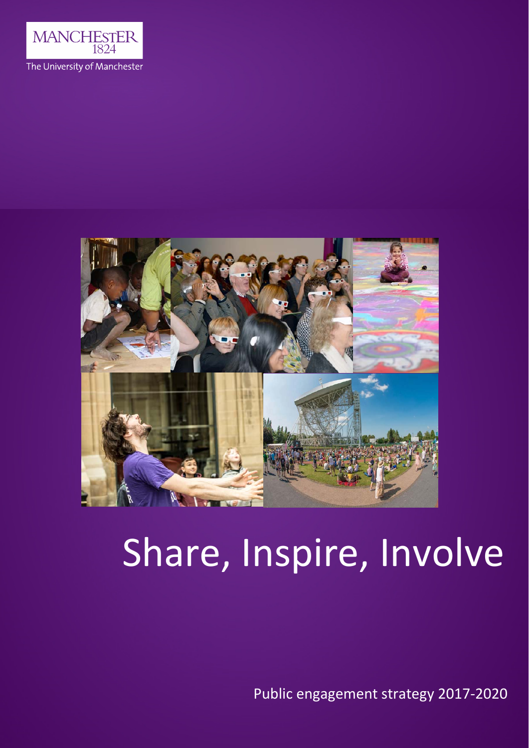



# Share, Inspire, Involve

1 Public engagement strategy 2017‐2020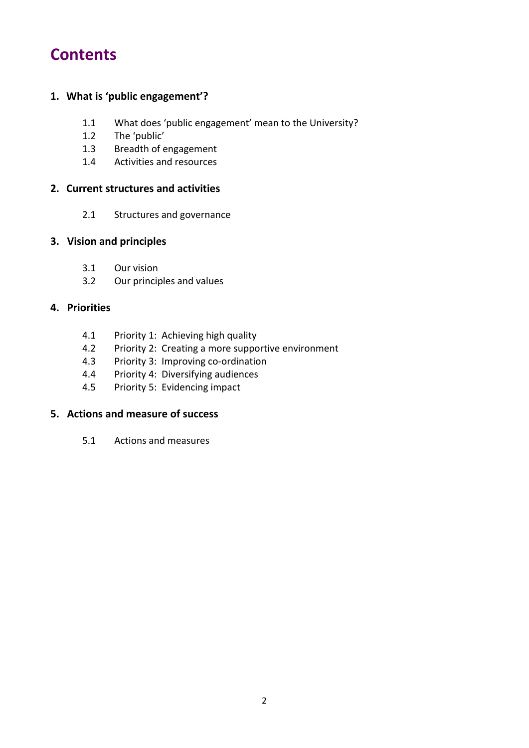# **Contents**

#### **1. What is 'public engagement'?**

- 1.1 What does 'public engagement' mean to the University?
- 1.2 The 'public'
- 1.3 Breadth of engagement
- 1.4 Activities and resources

#### **2. Current structures and activities**

2.1 Structures and governance

#### **3. Vision and principles**

- 3.1 Our vision
- 3.2 Our principles and values

#### **4. Priorities**

- 4.1 Priority 1: Achieving high quality
- 4.2 Priority 2: Creating a more supportive environment
- 4.3 Priority 3: Improving co-ordination
- 4.4 Priority 4: Diversifying audiences
- 4.5 Priority 5: Evidencing impact

#### **5. Actions and measure of success**

5.1 Actions and measures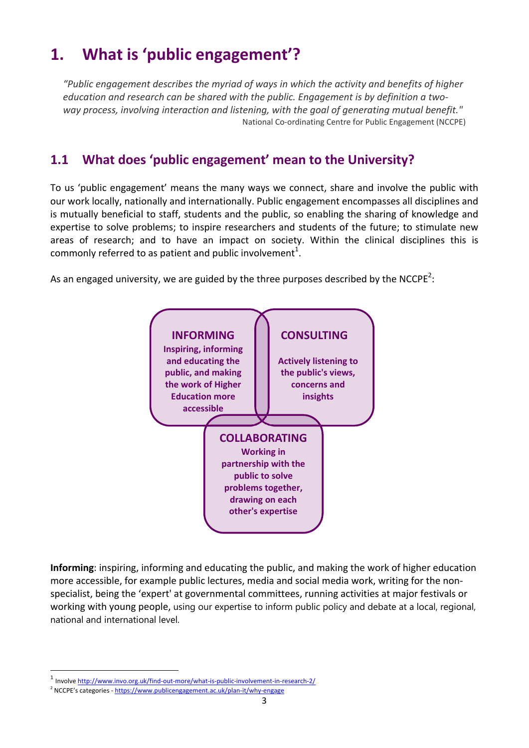# **1. What is 'public engagement'?**

*"Public engagement describes the myriad of ways in which the activity and benefits of higher education and research can be shared with the public. Engagement is by definition a two‐ way process, involving interaction and listening, with the goal of generating mutual benefit."* National Co‐ordinating Centre for Public Engagement (NCCPE)

# **1.1 What does 'public engagement' mean to the University?**

To us 'public engagement' means the many ways we connect, share and involve the public with our work locally, nationally and internationally. Public engagement encompasses all disciplines and is mutually beneficial to staff, students and the public, so enabling the sharing of knowledge and expertise to solve problems; to inspire researchers and students of the future; to stimulate new areas of research; and to have an impact on society. Within the clinical disciplines this is commonly referred to as patient and public involvement<sup>1</sup>.

As an engaged university, we are guided by the three purposes described by the NCCPE<sup>2</sup>:



**Informing**: inspiring, informing and educating the public, and making the work of higher education more accessible, for example public lectures, media and social media work, writing for the non‐ specialist, being the 'expert' at governmental committees, running activities at major festivals or working with young people, using our expertise to inform public policy and debate at a local, regional, national and international level.

<sup>1</sup> Involve http://www.invo.org.uk/find‐out‐more/what‐is‐public‐involvement‐in‐research‐2/

<sup>&</sup>lt;sup>2</sup> NCCPE's categories - https://www.publicengagement.ac.uk/plan-it/why-engage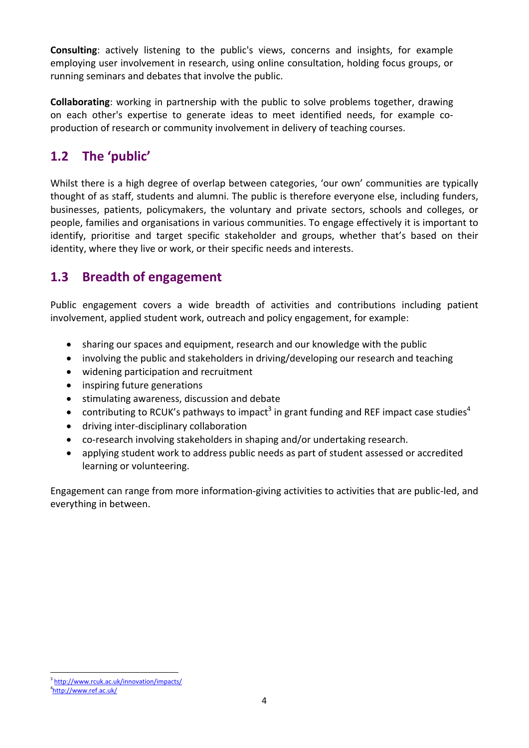**Consulting**: actively listening to the public's views, concerns and insights, for example employing user involvement in research, using online consultation, holding focus groups, or running seminars and debates that involve the public.

**Collaborating**: working in partnership with the public to solve problems together, drawing on each other's expertise to generate ideas to meet identified needs, for example co‐ production of research or community involvement in delivery of teaching courses.

# **1.2 The 'public'**

Whilst there is a high degree of overlap between categories, 'our own' communities are typically thought of as staff, students and alumni. The public is therefore everyone else, including funders, businesses, patients, policymakers, the voluntary and private sectors, schools and colleges, or people, families and organisations in various communities. To engage effectively it is important to identify, prioritise and target specific stakeholder and groups, whether that's based on their identity, where they live or work, or their specific needs and interests.

## **1.3 Breadth of engagement**

Public engagement covers a wide breadth of activities and contributions including patient involvement, applied student work, outreach and policy engagement, for example:

- sharing our spaces and equipment, research and our knowledge with the public
- involving the public and stakeholders in driving/developing our research and teaching
- widening participation and recruitment
- inspiring future generations
- **•** stimulating awareness, discussion and debate
- contributing to RCUK's pathways to impact<sup>3</sup> in grant funding and REF impact case studies<sup>4</sup>
- driving inter-disciplinary collaboration
- co-research involving stakeholders in shaping and/or undertaking research.
- applying student work to address public needs as part of student assessed or accredited learning or volunteering.

Engagement can range from more information‐giving activities to activities that are public‐led, and everything in between.

 <sup>3</sup>http://www.rcuk.ac.uk/innovation/impacts/

<sup>4</sup> http://www.ref.ac.uk/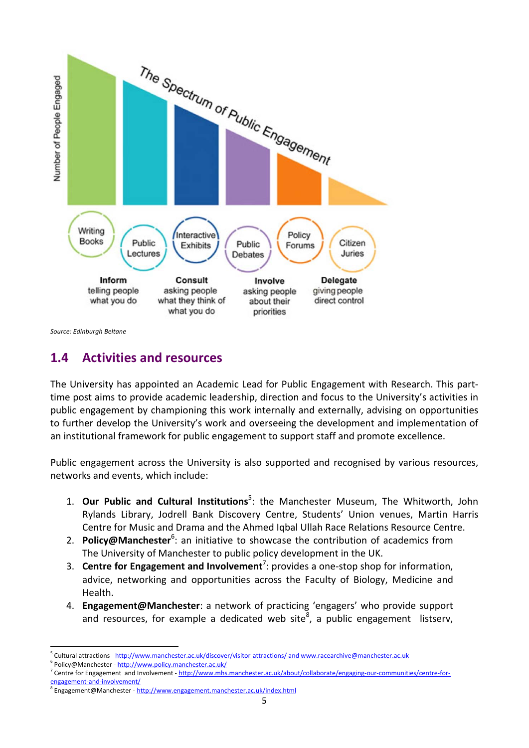

*Source: Edinburgh Beltane*

## **1.4 Activities and resources**

The University has appointed an Academic Lead for Public Engagement with Research. This part‐ time post aims to provide academic leadership, direction and focus to the University's activities in public engagement by championing this work internally and externally, advising on opportunities to further develop the University's work and overseeing the development and implementation of an institutional framework for public engagement to support staff and promote excellence.

Public engagement across the University is also supported and recognised by various resources, networks and events, which include:

- 1. **Our Public and Cultural Institutions**<sup>5</sup> : the Manchester Museum, The Whitworth, John Rylands Library, Jodrell Bank Discovery Centre, Students' Union venues, Martin Harris Centre for Music and Drama and the Ahmed Iqbal Ullah Race Relations Resource Centre.
- 2. Policy@Manchester<sup>6</sup>: an initiative to showcase the contribution of academics from The University of Manchester to public policy development in the UK.
- 3. **Centre for Engagement and Involvement**<sup>7</sup> : provides a one‐stop shop for information, advice, networking and opportunities across the Faculty of Biology, Medicine and Health.
- 4. **Engagement@Manchester**: a network of practicing 'engagers' who provide support and resources, for example a dedicated web site $^8$ , a public engagement listserv,

<sup>6</sup> Policy@Manchester ‐ http://www.policy.manchester.ac.uk/

 <sup>5</sup> Cultural attractions ‐ http://www.manchester.ac.uk/discover/visitor‐attractions/ and www.racearchive@manchester.ac.uk

<sup>7</sup> Centre for Engagement and Involvement - http://www.mhs.manchester.ac.uk/about/collaborate/engaging-our-communities/centre-forengagement-and-involvement/

<sup>8</sup> Engagement@Manchester - http://www.engagement.manchester.ac.uk/index.html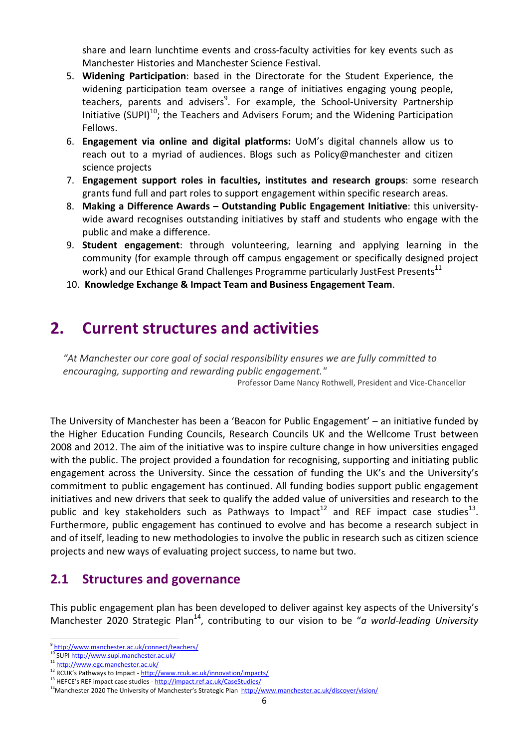share and learn lunchtime events and cross‐faculty activities for key events such as Manchester Histories and Manchester Science Festival.

- 5. **Widening Participation**: based in the Directorate for the Student Experience, the widening participation team oversee a range of initiatives engaging young people, teachers, parents and advisers<sup>9</sup>. For example, the School-University Partnership Initiative (SUPI)<sup>10</sup>; the Teachers and Advisers Forum; and the Widening Participation Fellows.
- 6. **Engagement via online and digital platforms:** UoM's digital channels allow us to reach out to a myriad of audiences. Blogs such as Policy@manchester and citizen science projects
- 7. **Engagement support roles in faculties, institutes and research groups**: some research grants fund full and part roles to support engagement within specific research areas.
- 8. **Making a Difference Awards – Outstanding Public Engagement Initiative**: this university‐ wide award recognises outstanding initiatives by staff and students who engage with the public and make a difference.
- 9. **Student engagement**: through volunteering, learning and applying learning in the community (for example through off campus engagement or specifically designed project work) and our Ethical Grand Challenges Programme particularly JustFest Presents<sup>11</sup>
- 10. **Knowledge Exchange & Impact Team and Business Engagement Team**.

# **2. Current structures and activities**

*"At Manchester our core goal of social responsibility ensures we are fully committed to encouraging, supporting and rewarding public engagement."* Professor Dame Nancy Rothwell, President and Vice‐Chancellor

The University of Manchester has been a 'Beacon for Public Engagement' – an initiative funded by the Higher Education Funding Councils, Research Councils UK and the Wellcome Trust between 2008 and 2012. The aim of the initiative was to inspire culture change in how universities engaged with the public. The project provided a foundation for recognising, supporting and initiating public engagement across the University. Since the cessation of funding the UK's and the University's commitment to public engagement has continued. All funding bodies support public engagement initiatives and new drivers that seek to qualify the added value of universities and research to the public and key stakeholders such as Pathways to Impact<sup>12</sup> and REF impact case studies<sup>13</sup>. Furthermore, public engagement has continued to evolve and has become a research subject in and of itself, leading to new methodologies to involve the public in research such as citizen science projects and new ways of evaluating project success, to name but two.

#### **2.1 Structures and governance**

This public engagement plan has been developed to deliver against key aspects of the University's Manchester 2020 Strategic Plan<sup>14</sup>, contributing to our vision to be "*a world-leading University* 

 <sup>9</sup> http://www.manchester.ac.uk/connect/teachers/

<sup>10&</sup>lt;br>10 SUPI http://www.supi.manchester.ac.uk/

<sup>11</sup> http://www.egc.manchester.ac.uk/

<sup>12</sup> RCUK's Pathways to Impact - http://www.rcuk.ac.uk/innovation/impacts/<br><sup>13</sup> HEFCE's REF impact case studies - http://impact.ref.ac.uk/CaseStudies/

<sup>&</sup>lt;sup>14</sup>Manchester 2020 The University of Manchester's Strategic Plan http://www.manchester.ac.uk/discover/vision/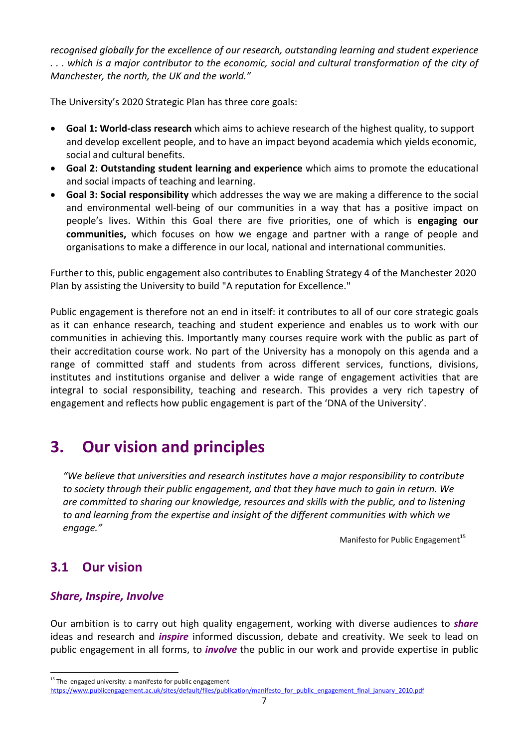*recognised globally for the excellence of our research, outstanding learning and student experience* ... which is a major contributor to the economic, social and cultural transformation of the city of *Manchester, the north, the UK and the world."*

The University's 2020 Strategic Plan has three core goals:

- **Goal 1: World‐class research** which aims to achieve research of the highest quality, to support and develop excellent people, and to have an impact beyond academia which yields economic, social and cultural benefits.
- **Goal 2: Outstanding student learning and experience** which aims to promote the educational and social impacts of teaching and learning.
- **Goal 3: Social responsibility** which addresses the way we are making a difference to the social and environmental well‐being of our communities in a way that has a positive impact on people's lives. Within this Goal there are five priorities, one of which is **engaging our communities,** which focuses on how we engage and partner with a range of people and organisations to make a difference in our local, national and international communities.

Further to this, public engagement also contributes to Enabling Strategy 4 of the Manchester 2020 Plan by assisting the University to build "A reputation for Excellence."

Public engagement is therefore not an end in itself: it contributes to all of our core strategic goals as it can enhance research, teaching and student experience and enables us to work with our communities in achieving this. Importantly many courses require work with the public as part of their accreditation course work. No part of the University has a monopoly on this agenda and a range of committed staff and students from across different services, functions, divisions, institutes and institutions organise and deliver a wide range of engagement activities that are integral to social responsibility, teaching and research. This provides a very rich tapestry of engagement and reflects how public engagement is part of the 'DNA of the University'.

# **3. Our vision and principles**

*"We believe that universities and research institutes have a major responsibility to contribute to society through their public engagement, and that they have much to gain in return. We are committed to sharing our knowledge, resources and skills with the public, and to listening to and learning from the expertise and insight of the different communities with which we engage."* 

Manifesto for Public Engagement $15$ 

## **3.1 Our vision**

#### *Share, Inspire, Involve*

Our ambition is to carry out high quality engagement, working with diverse audiences to *share* ideas and research and *inspire* informed discussion, debate and creativity. We seek to lead on public engagement in all forms, to *involve* the public in our work and provide expertise in public

 $15$  The engaged university: a manifesto for public engagement https://www.publicengagement.ac.uk/sites/default/files/publication/manifesto\_for\_public\_engagement\_final\_january\_2010.pdf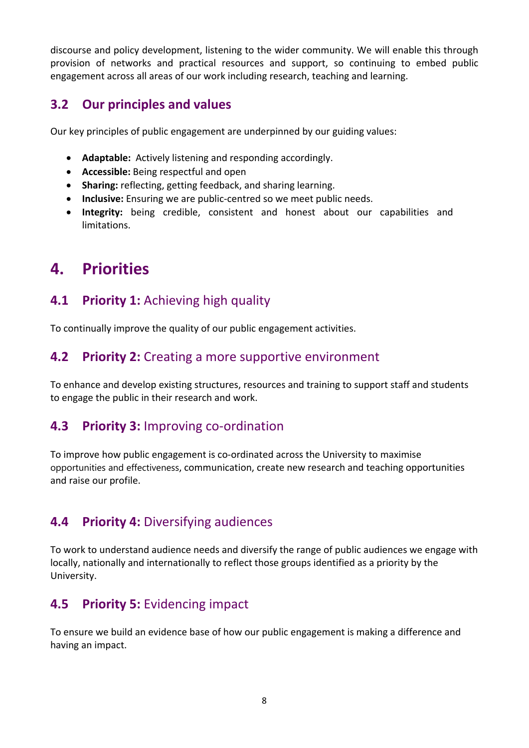discourse and policy development, listening to the wider community. We will enable this through provision of networks and practical resources and support, so continuing to embed public engagement across all areas of our work including research, teaching and learning.

# **3.2 Our principles and values**

Our key principles of public engagement are underpinned by our guiding values:

- **Adaptable:** Actively listening and responding accordingly.
- **Accessible:** Being respectful and open
- **Sharing:** reflecting, getting feedback, and sharing learning.
- **Inclusive:** Ensuring we are public-centred so we meet public needs.
- **Integrity:** being credible, consistent and honest about our capabilities and limitations.

# **4. Priorities**

## **4.1 Priority 1:** Achieving high quality

To continually improve the quality of our public engagement activities.

## **4.2 Priority 2:** Creating a more supportive environment

To enhance and develop existing structures, resources and training to support staff and students to engage the public in their research and work.

## **4.3 Priority 3:** Improving co‐ordination

To improve how public engagement is co-ordinated across the University to maximise opportunities and effectiveness, communication, create new research and teaching opportunities and raise our profile.

# **4.4 Priority 4:** Diversifying audiences

To work to understand audience needs and diversify the range of public audiences we engage with locally, nationally and internationally to reflect those groups identified as a priority by the University.

# **4.5 Priority 5:** Evidencing impact

To ensure we build an evidence base of how our public engagement is making a difference and having an impact.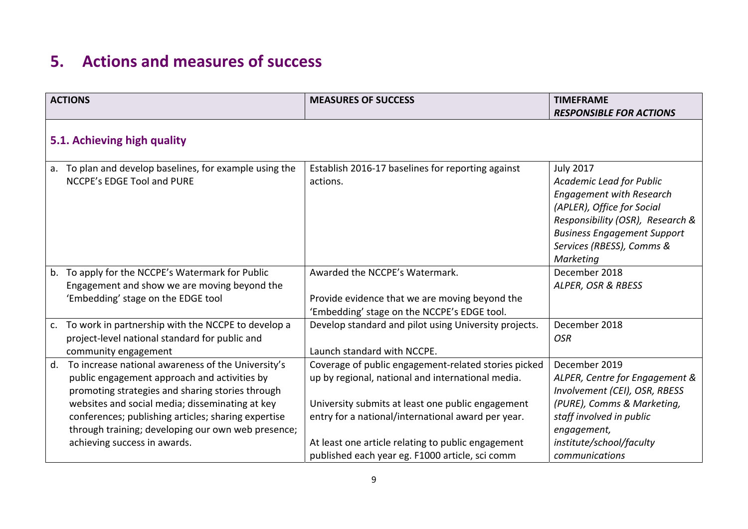# **5. Actions and measures of success**

|    | <b>ACTIONS</b>                                                                                                                                                                                                                                                                                                                                         | <b>MEASURES OF SUCCESS</b>                                                                                                                                                                                                                                                                                                    | <b>TIMEFRAME</b><br><b>RESPONSIBLE FOR ACTIONS</b>                                                                                                                                                                                |  |  |
|----|--------------------------------------------------------------------------------------------------------------------------------------------------------------------------------------------------------------------------------------------------------------------------------------------------------------------------------------------------------|-------------------------------------------------------------------------------------------------------------------------------------------------------------------------------------------------------------------------------------------------------------------------------------------------------------------------------|-----------------------------------------------------------------------------------------------------------------------------------------------------------------------------------------------------------------------------------|--|--|
|    | 5.1. Achieving high quality                                                                                                                                                                                                                                                                                                                            |                                                                                                                                                                                                                                                                                                                               |                                                                                                                                                                                                                                   |  |  |
|    | a. To plan and develop baselines, for example using the<br><b>NCCPE's EDGE Tool and PURE</b>                                                                                                                                                                                                                                                           | Establish 2016-17 baselines for reporting against<br>actions.                                                                                                                                                                                                                                                                 | <b>July 2017</b><br>Academic Lead for Public<br><b>Engagement with Research</b><br>(APLER), Office for Social<br>Responsibility (OSR), Research &<br><b>Business Engagement Support</b><br>Services (RBESS), Comms &<br>Marketing |  |  |
|    | b. To apply for the NCCPE's Watermark for Public<br>Engagement and show we are moving beyond the<br>'Embedding' stage on the EDGE tool                                                                                                                                                                                                                 | Awarded the NCCPE's Watermark.<br>Provide evidence that we are moving beyond the<br>'Embedding' stage on the NCCPE's EDGE tool.                                                                                                                                                                                               | December 2018<br>ALPER, OSR & RBESS                                                                                                                                                                                               |  |  |
|    | c. To work in partnership with the NCCPE to develop a<br>project-level national standard for public and<br>community engagement                                                                                                                                                                                                                        | Develop standard and pilot using University projects.<br>Launch standard with NCCPE.                                                                                                                                                                                                                                          | December 2018<br><b>OSR</b>                                                                                                                                                                                                       |  |  |
| d. | To increase national awareness of the University's<br>public engagement approach and activities by<br>promoting strategies and sharing stories through<br>websites and social media; disseminating at key<br>conferences; publishing articles; sharing expertise<br>through training; developing our own web presence;<br>achieving success in awards. | Coverage of public engagement-related stories picked<br>up by regional, national and international media.<br>University submits at least one public engagement<br>entry for a national/international award per year.<br>At least one article relating to public engagement<br>published each year eg. F1000 article, sci comm | December 2019<br>ALPER, Centre for Engagement &<br>Involvement (CEI), OSR, RBESS<br>(PURE), Comms & Marketing,<br>staff involved in public<br>engagement,<br>institute/school/faculty<br>communications                           |  |  |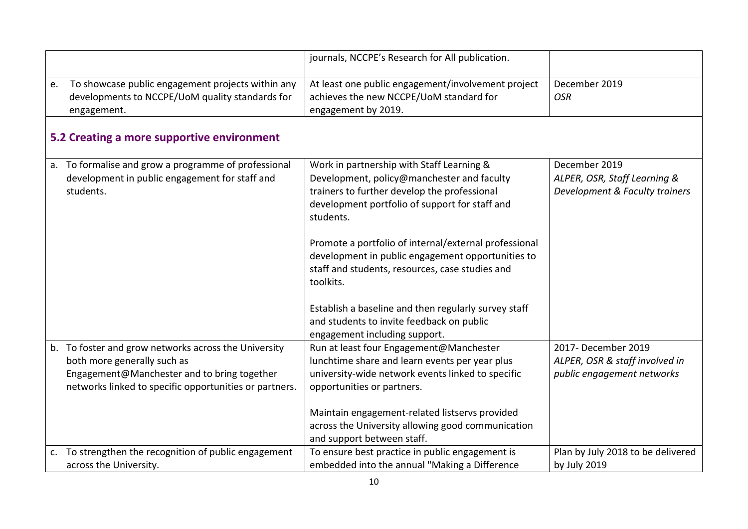|                                                                                                                                                                                              | journals, NCCPE's Research for All publication.                                                                                                                                                        |                                                                                     |  |  |
|----------------------------------------------------------------------------------------------------------------------------------------------------------------------------------------------|--------------------------------------------------------------------------------------------------------------------------------------------------------------------------------------------------------|-------------------------------------------------------------------------------------|--|--|
| To showcase public engagement projects within any<br>e.<br>developments to NCCPE/UoM quality standards for<br>engagement.                                                                    | At least one public engagement/involvement project<br>achieves the new NCCPE/UoM standard for<br>engagement by 2019.                                                                                   | December 2019<br><b>OSR</b>                                                         |  |  |
| 5.2 Creating a more supportive environment                                                                                                                                                   |                                                                                                                                                                                                        |                                                                                     |  |  |
| a. To formalise and grow a programme of professional<br>development in public engagement for staff and<br>students.                                                                          | Work in partnership with Staff Learning &<br>Development, policy@manchester and faculty<br>trainers to further develop the professional<br>development portfolio of support for staff and<br>students. | December 2019<br>ALPER, OSR, Staff Learning &<br>Development & Faculty trainers     |  |  |
|                                                                                                                                                                                              | Promote a portfolio of internal/external professional<br>development in public engagement opportunities to<br>staff and students, resources, case studies and<br>toolkits.                             |                                                                                     |  |  |
|                                                                                                                                                                                              | Establish a baseline and then regularly survey staff<br>and students to invite feedback on public<br>engagement including support.                                                                     |                                                                                     |  |  |
| b. To foster and grow networks across the University<br>both more generally such as<br>Engagement@Manchester and to bring together<br>networks linked to specific opportunities or partners. | Run at least four Engagement@Manchester<br>lunchtime share and learn events per year plus<br>university-wide network events linked to specific<br>opportunities or partners.                           | 2017- December 2019<br>ALPER, OSR & staff involved in<br>public engagement networks |  |  |
|                                                                                                                                                                                              | Maintain engagement-related listservs provided<br>across the University allowing good communication<br>and support between staff.                                                                      |                                                                                     |  |  |
| c. To strengthen the recognition of public engagement<br>across the University.                                                                                                              | To ensure best practice in public engagement is<br>embedded into the annual "Making a Difference                                                                                                       | Plan by July 2018 to be delivered<br>by July 2019                                   |  |  |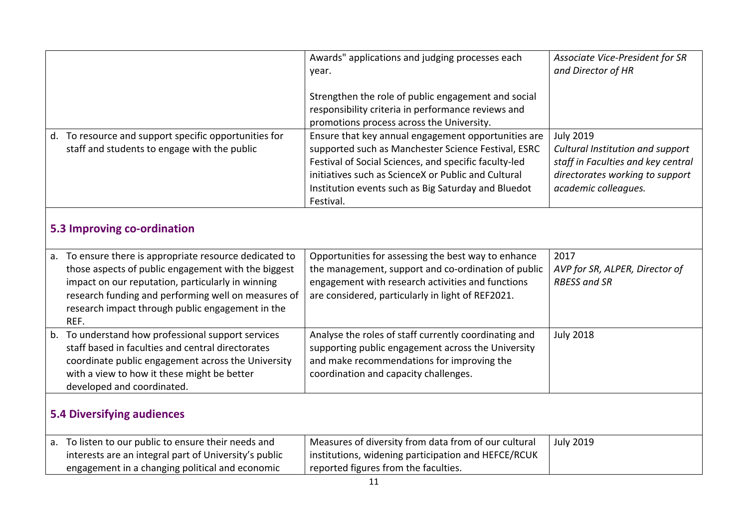|                                                                                                                                                                                                                                                                                           | Awards" applications and judging processes each<br>year.<br>Strengthen the role of public engagement and social<br>responsibility criteria in performance reviews and<br>promotions process across the University.                                                                             | Associate Vice-President for SR<br>and Director of HR                                                                                                 |  |  |
|-------------------------------------------------------------------------------------------------------------------------------------------------------------------------------------------------------------------------------------------------------------------------------------------|------------------------------------------------------------------------------------------------------------------------------------------------------------------------------------------------------------------------------------------------------------------------------------------------|-------------------------------------------------------------------------------------------------------------------------------------------------------|--|--|
| d. To resource and support specific opportunities for<br>staff and students to engage with the public                                                                                                                                                                                     | Ensure that key annual engagement opportunities are<br>supported such as Manchester Science Festival, ESRC<br>Festival of Social Sciences, and specific faculty-led<br>initiatives such as ScienceX or Public and Cultural<br>Institution events such as Big Saturday and Bluedot<br>Festival. | <b>July 2019</b><br>Cultural Institution and support<br>staff in Faculties and key central<br>directorates working to support<br>academic colleagues. |  |  |
| 5.3 Improving co-ordination                                                                                                                                                                                                                                                               |                                                                                                                                                                                                                                                                                                |                                                                                                                                                       |  |  |
| To ensure there is appropriate resource dedicated to<br>a.<br>those aspects of public engagement with the biggest<br>impact on our reputation, particularly in winning<br>research funding and performing well on measures of<br>research impact through public engagement in the<br>REF. | Opportunities for assessing the best way to enhance<br>the management, support and co-ordination of public<br>engagement with research activities and functions<br>are considered, particularly in light of REF2021.                                                                           | 2017<br>AVP for SR, ALPER, Director of<br><b>RBESS and SR</b>                                                                                         |  |  |
| b. To understand how professional support services<br>staff based in faculties and central directorates<br>coordinate public engagement across the University<br>with a view to how it these might be better<br>developed and coordinated.                                                | Analyse the roles of staff currently coordinating and<br>supporting public engagement across the University<br>and make recommendations for improving the<br>coordination and capacity challenges.                                                                                             | <b>July 2018</b>                                                                                                                                      |  |  |
| <b>5.4 Diversifying audiences</b>                                                                                                                                                                                                                                                         |                                                                                                                                                                                                                                                                                                |                                                                                                                                                       |  |  |
| a. To listen to our public to ensure their needs and<br>interests are an integral part of University's public<br>engagement in a changing political and economic                                                                                                                          | Measures of diversity from data from of our cultural<br>institutions, widening participation and HEFCE/RCUK<br>reported figures from the faculties.                                                                                                                                            | <b>July 2019</b>                                                                                                                                      |  |  |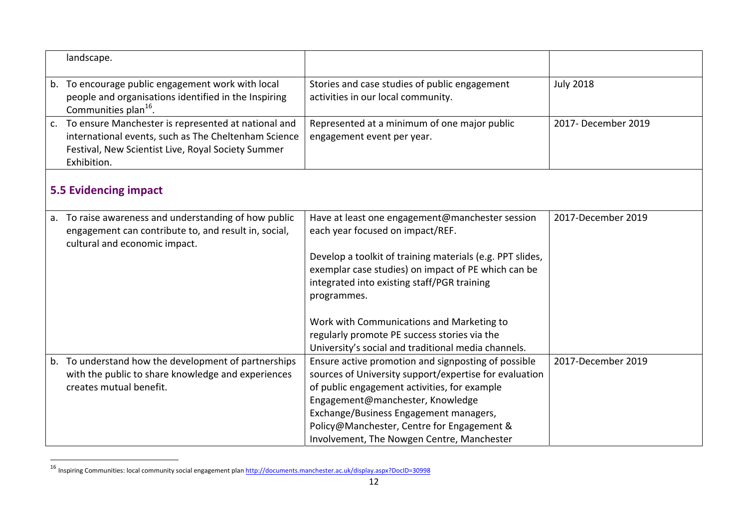|                | landscape.                                                                                                                                                                       |                                                                                                                                                                                                                                                                                                                                                                    |                     |  |  |
|----------------|----------------------------------------------------------------------------------------------------------------------------------------------------------------------------------|--------------------------------------------------------------------------------------------------------------------------------------------------------------------------------------------------------------------------------------------------------------------------------------------------------------------------------------------------------------------|---------------------|--|--|
|                | b. To encourage public engagement work with local<br>people and organisations identified in the Inspiring<br>Communities plan <sup>16</sup> .                                    | Stories and case studies of public engagement<br>activities in our local community.                                                                                                                                                                                                                                                                                | <b>July 2018</b>    |  |  |
| C <sub>1</sub> | To ensure Manchester is represented at national and<br>international events, such as The Cheltenham Science<br>Festival, New Scientist Live, Royal Society Summer<br>Exhibition. | Represented at a minimum of one major public<br>engagement event per year.                                                                                                                                                                                                                                                                                         | 2017- December 2019 |  |  |
|                | <b>5.5 Evidencing impact</b>                                                                                                                                                     |                                                                                                                                                                                                                                                                                                                                                                    |                     |  |  |
|                | a. To raise awareness and understanding of how public<br>engagement can contribute to, and result in, social,<br>cultural and economic impact.                                   | Have at least one engagement@manchester session<br>each year focused on impact/REF.<br>Develop a toolkit of training materials (e.g. PPT slides,<br>exemplar case studies) on impact of PE which can be<br>integrated into existing staff/PGR training<br>programmes.<br>Work with Communications and Marketing to<br>regularly promote PE success stories via the | 2017-December 2019  |  |  |
|                |                                                                                                                                                                                  | University's social and traditional media channels.                                                                                                                                                                                                                                                                                                                |                     |  |  |
|                | b. To understand how the development of partnerships<br>with the public to share knowledge and experiences<br>creates mutual benefit.                                            | Ensure active promotion and signposting of possible<br>sources of University support/expertise for evaluation<br>of public engagement activities, for example<br>Engagement@manchester, Knowledge<br>Exchange/Business Engagement managers,<br>Policy@Manchester, Centre for Engagement &<br>Involvement, The Nowgen Centre, Manchester                            | 2017-December 2019  |  |  |

<sup>16</sup> Inspiring Communities: local community social engagement plan http://documents.manchester.ac.uk/display.aspx?DocID=30998